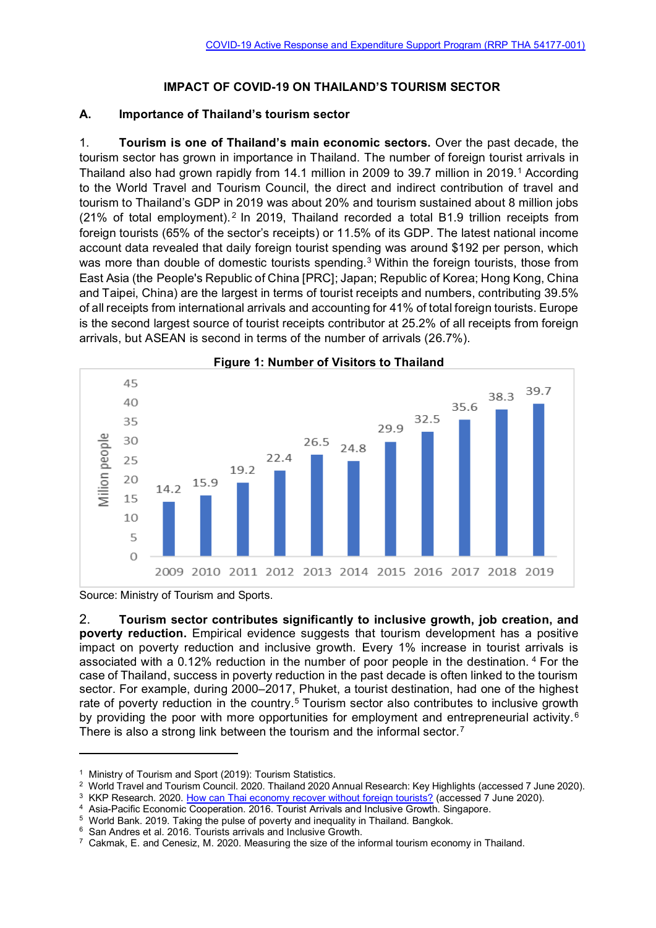## **IMPACT OF COVID-19 ON THAILAND'S TOURISM SECTOR**

## **A. Importance of Thailand's tourism sector**

1. **Tourism is one of Thailand's main economic sectors.** Over the past decade, the tourism sector has grown in importance in Thailand. The number of foreign tourist arrivals in Thailand also had grown rapidly from 14.1 million in 2009 to 39.7 million in 2019.<sup>1</sup> According to the World Travel and Tourism Council, the direct and indirect contribution of travel and tourism to Thailand's GDP in 2019 was about 20% and tourism sustained about 8 million jobs (21% of total employment).<sup>2</sup> In 2019, Thailand recorded a total B1.9 trillion receipts from foreign tourists (65% of the sector's receipts) or 11.5% of its GDP. The latest national income account data revealed that daily foreign tourist spending was around \$192 per person, which was more than double of domestic tourists spending.<sup>3</sup> Within the foreign tourists, those from East Asia (the People's Republic of China [PRC]; Japan; Republic of Korea; Hong Kong, China and Taipei, China) are the largest in terms of tourist receipts and numbers, contributing 39.5% of all receipts from international arrivals and accounting for 41% of total foreign tourists. Europe is the second largest source of tourist receipts contributor at 25.2% of all receipts from foreign arrivals, but ASEAN is second in terms of the number of arrivals (26.7%).



Source: Ministry of Tourism and Sports.

2. **Tourism sector contributes significantly to inclusive growth, job creation, and poverty reduction.** Empirical evidence suggests that tourism development has a positive impact on poverty reduction and inclusive growth. Every 1% increase in tourist arrivals is associated with a 0.12% reduction in the number of poor people in the destination. <sup>4</sup> For the case of Thailand, success in poverty reduction in the past decade is often linked to the tourism sector. For example, during 2000–2017, Phuket, a tourist destination, had one of the highest rate of poverty reduction in the country.<sup>5</sup> Tourism sector also contributes to inclusive growth by providing the poor with more opportunities for employment and entrepreneurial activity.<sup>6</sup> There is also a strong link between the tourism and the informal sector.<sup>7</sup>

<sup>5</sup> World Bank. 2019. Taking the pulse of poverty and inequality in Thailand. Bangkok.

<sup>&</sup>lt;sup>1</sup> Ministry of Tourism and Sport (2019): Tourism Statistics.

<sup>2</sup> World Travel and Tourism Council. 2020. Thailand 2020 Annual Research: Key Highlights (accessed 7 June 2020).

<sup>&</sup>lt;sup>3</sup> KKP Research. 2020. [How can Thai economy recover without foreign tourists?](https://thaipublica.org/2020/06/kkp-research13/?fbclid=IwAR0AkdyndYoMUr779mccldPFGvzMSNOWKQF8afsQej6zPZsQYzrUpxDkeLk) (accessed 7 June 2020).

<sup>4</sup> Asia-Pacific Economic Cooperation. 2016. Tourist Arrivals and Inclusive Growth. Singapore.

<sup>6</sup> San Andres et al. 2016. Tourists arrivals and Inclusive Growth.

 $^7$  Cakmak, E. and Cenesiz, M. 2020. Measuring the size of the informal tourism economy in Thailand.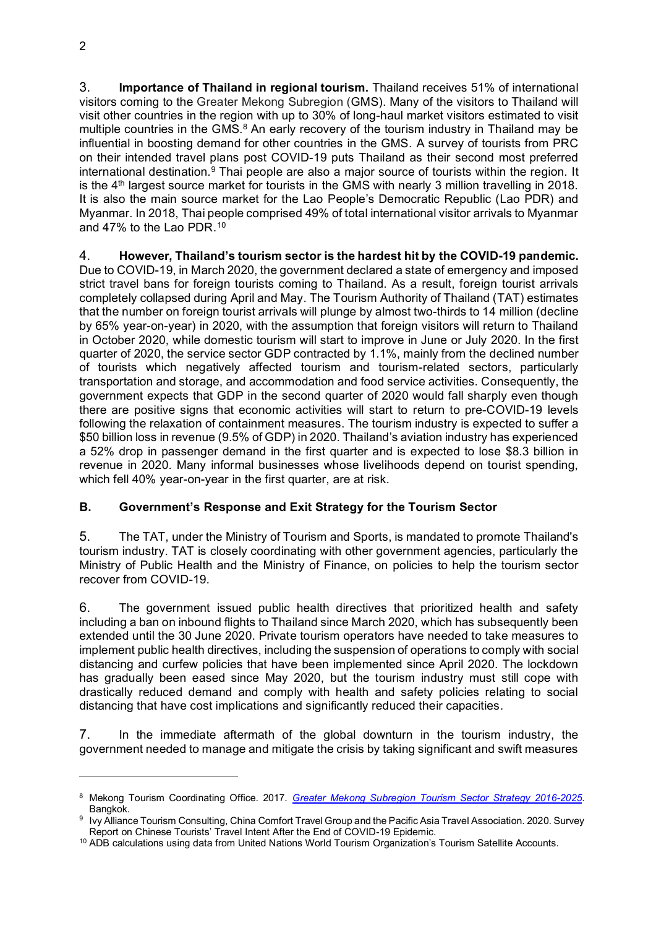3. **Importance of Thailand in regional tourism.** Thailand receives 51% of international visitors coming to the Greater Mekong Subregion (GMS). Many of the visitors to Thailand will visit other countries in the region with up to 30% of long-haul market visitors estimated to visit multiple countries in the GMS.<sup>8</sup> An early recovery of the tourism industry in Thailand may be influential in boosting demand for other countries in the GMS. A survey of tourists from PRC on their intended travel plans post COVID-19 puts Thailand as their second most preferred international destination.<sup>9</sup> Thai people are also a major source of tourists within the region. It is the  $4<sup>th</sup>$  largest source market for tourists in the GMS with nearly 3 million travelling in 2018. It is also the main source market for the Lao People's Democratic Republic (Lao PDR) and Myanmar. In 2018, Thai people comprised 49% of total international visitor arrivals to Myanmar and 47% to the Lao PDR.<sup>10</sup>

4. **However, Thailand's tourism sector is the hardest hit by the COVID-19 pandemic.** Due to COVID-19, in March 2020, the government declared a state of emergency and imposed strict travel bans for foreign tourists coming to Thailand. As a result, foreign tourist arrivals completely collapsed during April and May. The Tourism Authority of Thailand (TAT) estimates that the number on foreign tourist arrivals will plunge by almost two-thirds to 14 million (decline by 65% year-on-year) in 2020, with the assumption that foreign visitors will return to Thailand in October 2020, while domestic tourism will start to improve in June or July 2020. In the first quarter of 2020, the service sector GDP contracted by 1.1%, mainly from the declined number of tourists which negatively affected tourism and tourism-related sectors, particularly transportation and storage, and accommodation and food service activities. Consequently, the government expects that GDP in the second quarter of 2020 would fall sharply even though there are positive signs that economic activities will start to return to pre-COVID-19 levels following the relaxation of containment measures. The tourism industry is expected to suffer a \$50 billion loss in revenue (9.5% of GDP) in 2020. Thailand's aviation industry has experienced a 52% drop in passenger demand in the first quarter and is expected to lose \$8.3 billion in revenue in 2020. Many informal businesses whose livelihoods depend on tourist spending, which fell 40% year-on-year in the first quarter, are at risk.

## **B. Government's Response and Exit Strategy for the Tourism Sector**

5. The TAT, under the Ministry of Tourism and Sports, is mandated to promote Thailand's tourism industry. TAT is closely coordinating with other government agencies, particularly the Ministry of Public Health and the Ministry of Finance, on policies to help the tourism sector recover from COVID-19.

6. The government issued public health directives that prioritized health and safety including a ban on inbound flights to Thailand since March 2020, which has subsequently been extended until the 30 June 2020. Private tourism operators have needed to take measures to implement public health directives, including the suspension of operations to comply with social distancing and curfew policies that have been implemented since April 2020. The lockdown has gradually been eased since May 2020, but the tourism industry must still cope with drastically reduced demand and comply with health and safety policies relating to social distancing that have cost implications and significantly reduced their capacities.

7. In the immediate aftermath of the global downturn in the tourism industry, the government needed to manage and mitigate the crisis by taking significant and swift measures

<sup>8</sup> Mekong Tourism Coordinating Office. 2017. *[Greater Mekong Subregion Tourism Sector Strategy 2016-2025](https://www.greatermekong.org/sites/default/files/2016_2025_GMS_Tourism_Sector_Strategy.pdf)*. Bangkok.

<sup>9</sup> Ivy Alliance Tourism Consulting, China Comfort Travel Group and the Pacific Asia Travel Association. 2020. Survey Report on Chinese Tourists' Travel Intent After the End of COVID-19 Epidemic.

<sup>&</sup>lt;sup>10</sup> ADB calculations using data from United Nations World Tourism Organization's Tourism Satellite Accounts.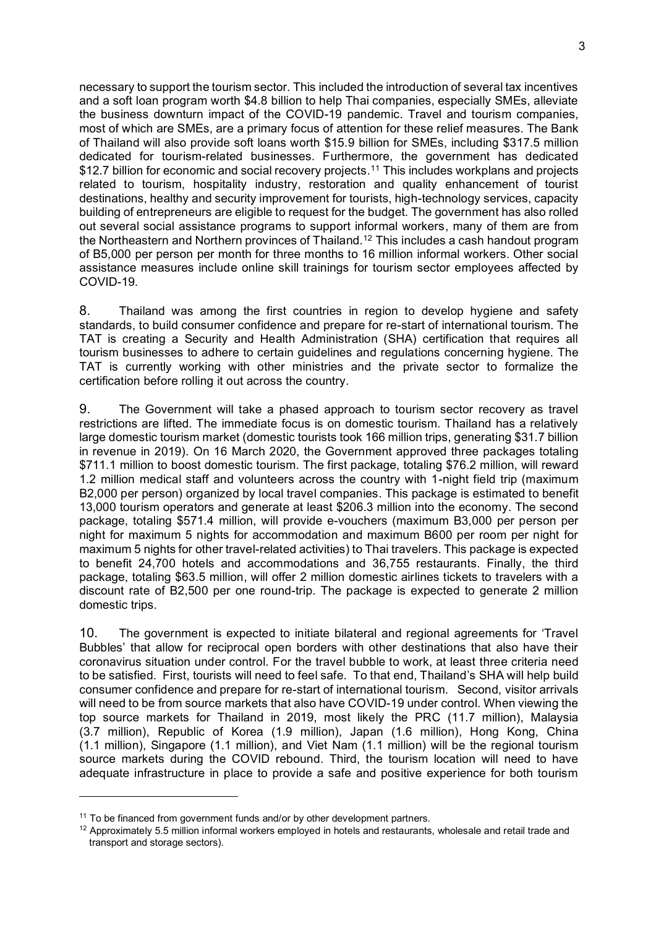necessary to support the tourism sector. This included the introduction of several tax incentives and a soft loan program worth \$4.8 billion to help Thai companies, especially SMEs, alleviate the business downturn impact of the COVID-19 pandemic. Travel and tourism companies, most of which are SMEs, are a primary focus of attention for these relief measures. The Bank of Thailand will also provide soft loans worth \$15.9 billion for SMEs, including \$317.5 million dedicated for tourism-related businesses. Furthermore, the government has dedicated \$12.7 billion for economic and social recovery projects. <sup>11</sup> This includes workplans and projects related to tourism, hospitality industry, restoration and quality enhancement of tourist destinations, healthy and security improvement for tourists, high-technology services, capacity building of entrepreneurs are eligible to request for the budget. The government has also rolled out several social assistance programs to support informal workers, many of them are from the Northeastern and Northern provinces of Thailand.<sup>12</sup> This includes a cash handout program of B5,000 per person per month for three months to 16 million informal workers. Other social assistance measures include online skill trainings for tourism sector employees affected by COVID-19.

8. Thailand was among the first countries in region to develop hygiene and safety standards, to build consumer confidence and prepare for re-start of international tourism. The TAT is creating a Security and Health Administration (SHA) certification that requires all tourism businesses to adhere to certain guidelines and regulations concerning hygiene. The TAT is currently working with other ministries and the private sector to formalize the certification before rolling it out across the country.

9. The Government will take a phased approach to tourism sector recovery as travel restrictions are lifted. The immediate focus is on domestic tourism. Thailand has a relatively large domestic tourism market (domestic tourists took 166 million trips, generating \$31.7 billion in revenue in 2019). On 16 March 2020, the Government approved three packages totaling \$711.1 million to boost domestic tourism. The first package, totaling \$76.2 million, will reward 1.2 million medical staff and volunteers across the country with 1-night field trip (maximum B2,000 per person) organized by local travel companies. This package is estimated to benefit 13,000 tourism operators and generate at least \$206.3 million into the economy. The second package, totaling \$571.4 million, will provide e-vouchers (maximum B3,000 per person per night for maximum 5 nights for accommodation and maximum B600 per room per night for maximum 5 nights for other travel-related activities) to Thai travelers. This package is expected to benefit 24,700 hotels and accommodations and 36,755 restaurants. Finally, the third package, totaling \$63.5 million, will offer 2 million domestic airlines tickets to travelers with a discount rate of B2,500 per one round-trip. The package is expected to generate 2 million domestic trips.

10. The government is expected to initiate bilateral and regional agreements for 'Travel Bubbles' that allow for reciprocal open borders with other destinations that also have their coronavirus situation under control. For the travel bubble to work, at least three criteria need to be satisfied. First, tourists will need to feel safe. To that end, Thailand's SHA will help build consumer confidence and prepare for re-start of international tourism. Second, visitor arrivals will need to be from source markets that also have COVID-19 under control. When viewing the top source markets for Thailand in 2019, most likely the PRC (11.7 million), Malaysia (3.7 million), Republic of Korea (1.9 million), Japan (1.6 million), Hong Kong, China (1.1 million), Singapore (1.1 million), and Viet Nam (1.1 million) will be the regional tourism source markets during the COVID rebound. Third, the tourism location will need to have adequate infrastructure in place to provide a safe and positive experience for both tourism

<sup>&</sup>lt;sup>11</sup> To be financed from government funds and/or by other development partners.

 $12$  Approximately 5.5 million informal workers employed in hotels and restaurants, wholesale and retail trade and transport and storage sectors).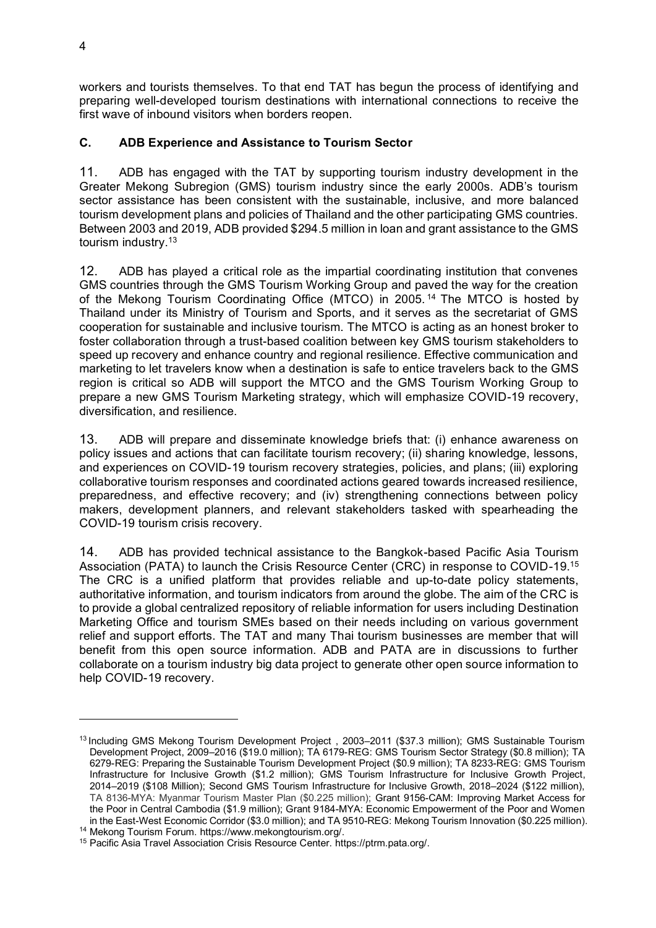workers and tourists themselves. To that end TAT has begun the process of identifying and preparing well-developed tourism destinations with international connections to receive the first wave of inbound visitors when borders reopen.

## **C. ADB Experience and Assistance to Tourism Sector**

11. ADB has engaged with the TAT by supporting tourism industry development in the Greater Mekong Subregion (GMS) tourism industry since the early 2000s. ADB's tourism sector assistance has been consistent with the sustainable, inclusive, and more balanced tourism development plans and policies of Thailand and the other participating GMS countries. Between 2003 and 2019, ADB provided \$294.5 million in loan and grant assistance to the GMS tourism industry.<sup>13</sup>

12. ADB has played a critical role as the impartial coordinating institution that convenes GMS countries through the GMS Tourism Working Group and paved the way for the creation of the Mekong Tourism Coordinating Office (MTCO) in 2005. <sup>14</sup> The MTCO is hosted by Thailand under its Ministry of Tourism and Sports, and it serves as the secretariat of GMS cooperation for sustainable and inclusive tourism. The MTCO is acting as an honest broker to foster collaboration through a trust-based coalition between key GMS tourism stakeholders to speed up recovery and enhance country and regional resilience. Effective communication and marketing to let travelers know when a destination is safe to entice travelers back to the GMS region is critical so ADB will support the MTCO and the GMS Tourism Working Group to prepare a new GMS Tourism Marketing strategy, which will emphasize COVID-19 recovery, diversification, and resilience.

13. ADB will prepare and disseminate knowledge briefs that: (i) enhance awareness on policy issues and actions that can facilitate tourism recovery; (ii) sharing knowledge, lessons, and experiences on COVID-19 tourism recovery strategies, policies, and plans; (iii) exploring collaborative tourism responses and coordinated actions geared towards increased resilience, preparedness, and effective recovery; and (iv) strengthening connections between policy makers, development planners, and relevant stakeholders tasked with spearheading the COVID-19 tourism crisis recovery.

14. ADB has provided technical assistance to the Bangkok-based Pacific Asia Tourism Association (PATA) to launch the Crisis Resource Center (CRC) in response to COVID-19.<sup>15</sup> The CRC is a unified platform that provides reliable and up-to-date policy statements, authoritative information, and tourism indicators from around the globe. The aim of the CRC is to provide a global centralized repository of reliable information for users including Destination Marketing Office and tourism SMEs based on their needs including on various government relief and support efforts. The TAT and many Thai tourism businesses are member that will benefit from this open source information. ADB and PATA are in discussions to further collaborate on a tourism industry big data project to generate other open source information to help COVID-19 recovery.

<sup>&</sup>lt;sup>13</sup> Including GMS Mekong Tourism Development Project, 2003-2011 (\$37.3 million); GMS Sustainable Tourism Development Project, 2009–2016 (\$19.0 million); TA 6179-REG: GMS Tourism Sector Strategy (\$0.8 million); TA 6279-REG: Preparing the Sustainable Tourism Development Project (\$0.9 million); TA 8233-REG: GMS Tourism Infrastructure for Inclusive Growth (\$1.2 million); GMS Tourism Infrastructure for Inclusive Growth Project, 2014–2019 (\$108 Million); Second GMS Tourism Infrastructure for Inclusive Growth, 2018–2024 (\$122 million), TA 8136-MYA: Myanmar Tourism Master Plan (\$0.225 million); Grant 9156-CAM: Improving Market Access for the Poor in Central Cambodia (\$1.9 million); Grant 9184-MYA: Economic Empowerment of the Poor and Women in the East-West Economic Corridor (\$3.0 million); and TA 9510-REG: Mekong Tourism Innovation (\$0.225 million).

<sup>14</sup> Mekong Tourism Forum. https://www.mekongtourism.org/.

<sup>15</sup> Pacific Asia Travel Association Crisis Resource Center. https://ptrm.pata.org/.